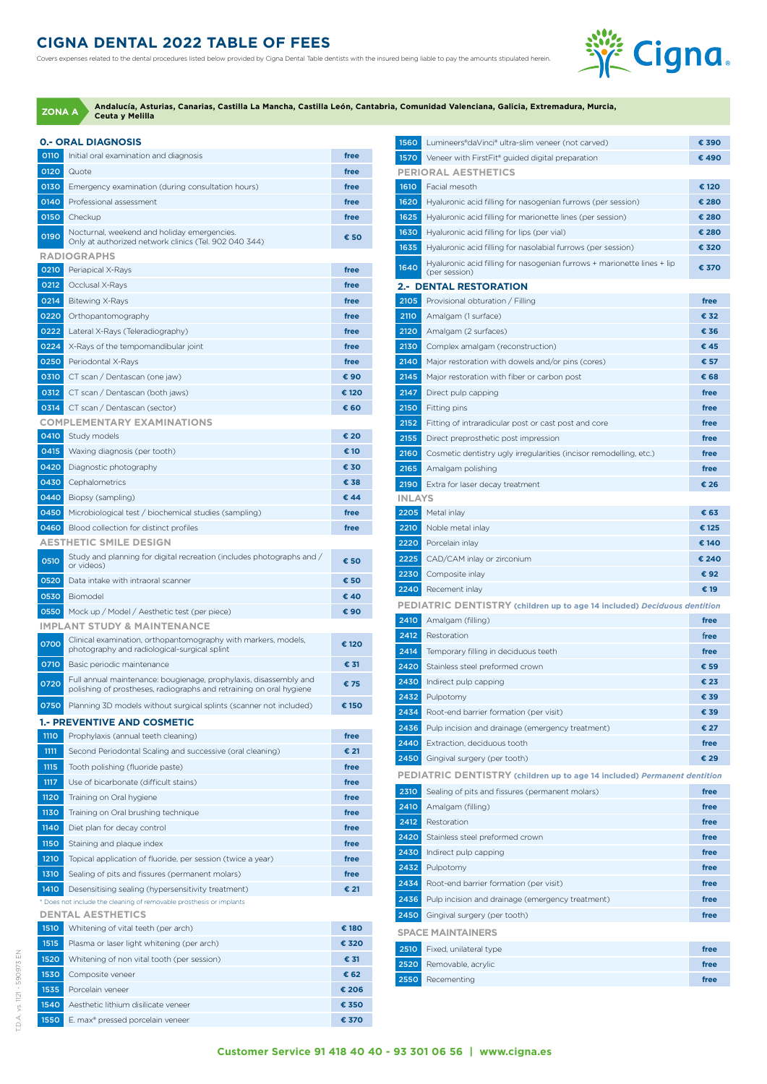## **CIGNA DENTAL 2022 TABLE OF FEES**

Covers expenses related to the dental procedures listed below provided by Cigna Dental Table dentists with the insured being liable to pay the amounts stipulated herein.



|             | <b>0.- ORAL DIAGNOSIS</b>                                                                                                                |       | 1560          | Lumineers®daVinci® ultra-slim veneer (not carved)                 |
|-------------|------------------------------------------------------------------------------------------------------------------------------------------|-------|---------------|-------------------------------------------------------------------|
| 0110        | Initial oral examination and diagnosis                                                                                                   | free  | 1570          | Veneer with FirstFit® guided digital preparation                  |
| 0120        | Quote                                                                                                                                    | free  |               | <b>PERIORAL AESTHETICS</b>                                        |
| 0130        | Emergency examination (during consultation hours)                                                                                        | free  | 1610          | Facial mesoth                                                     |
| 0140        | Professional assessment                                                                                                                  | free  | 1620          | Hyaluronic acid filling for nasogenian furrows (per se            |
| 0150        | Checkup                                                                                                                                  | free  | 1625          | Hyaluronic acid filling for marionette lines (per sessic          |
| 0190        | Nocturnal, weekend and holiday emergencies.                                                                                              | € 50  | 1630          | Hyaluronic acid filling for lips (per vial)                       |
|             | Only at authorized network clinics (Tel. 902 040 344)                                                                                    |       | 1635          | Hyaluronic acid filling for nasolabial furrows (per ses:          |
| 0210        | <b>RADIOGRAPHS</b>                                                                                                                       | free  | 1640          | Hyaluronic acid filling for nasogenian furrows + mario            |
| 0212        | Periapical X-Rays<br>Occlusal X-Rays                                                                                                     | free  |               | (per session)                                                     |
| 0214        | <b>Bitewing X-Rays</b>                                                                                                                   | free  | 2105          | <b>2.- DENTAL RESTORATION</b><br>Provisional obturation / Filling |
| 0220        |                                                                                                                                          | free  | 2110          | Amalgam (1 surface)                                               |
| 0222        | Orthopantomography                                                                                                                       |       | 2120          |                                                                   |
|             | Lateral X-Rays (Teleradiography)                                                                                                         | free  |               | Amalgam (2 surfaces)                                              |
| 0224        | X-Rays of the tempomandibular joint                                                                                                      | free  | 2130          | Complex amalgam (reconstruction)                                  |
| 0250        | Periodontal X-Rays                                                                                                                       | free  | 2140          | Major restoration with dowels and/or pins (cores)                 |
| 0310        | CT scan / Dentascan (one jaw)                                                                                                            | € 90  | 2145          | Major restoration with fiber or carbon post                       |
| 0312        | CT scan / Dentascan (both jaws)                                                                                                          | € 120 | 2147          | Direct pulp capping                                               |
| 0314        | CT scan / Dentascan (sector)<br><b>COMPLEMENTARY EXAMINATIONS</b>                                                                        | € 60  | 2150          | Fitting pins                                                      |
| 0410        | Study models                                                                                                                             | € 20  | 2152          | Fitting of intraradicular post or cast post and core              |
|             |                                                                                                                                          |       | 2155          | Direct preprosthetic post impression                              |
| 0415        | Waxing diagnosis (per tooth)<br>Diagnostic photography                                                                                   | € 10  | 2160          | Cosmetic dentistry ugly irregularities (incisor remode            |
| 0420        |                                                                                                                                          | € 30  | 2165          | Amalgam polishing                                                 |
| 0430        | Cephalometrics                                                                                                                           | € 38  | 2190          | Extra for laser decay treatment                                   |
| 0440        | Biopsy (sampling)                                                                                                                        | € 44  | <b>INLAYS</b> |                                                                   |
| 0450        | Microbiological test / biochemical studies (sampling)                                                                                    | free  | 2205          | Metal inlay                                                       |
| 0460        | Blood collection for distinct profiles                                                                                                   | free  | 2210          | Noble metal inlay                                                 |
|             | <b>AESTHETIC SMILE DESIGN</b>                                                                                                            |       | 2220          | Porcelain inlay                                                   |
| 0510        | Study and planning for digital recreation (includes photographs and /<br>or videos)                                                      | € 50  | 2225          | CAD/CAM inlay or zirconium                                        |
| 0520        | Data intake with intraoral scanner                                                                                                       | € 50  | 2230          | Composite inlay                                                   |
| 0530        | Biomodel                                                                                                                                 | € 40  | 2240          | Recement inlay                                                    |
| 0550        | Mock up / Model / Aesthetic test (per piece)                                                                                             | € 90  |               | <b>PEDIATRIC DENTISTRY (children up to age 14 incly</b>           |
|             | <b>IMPLANT STUDY &amp; MAINTENANCE</b>                                                                                                   |       | 2410          | Amalgam (filling)                                                 |
| 0700        | Clinical examination, orthopantomography with markers, models,                                                                           | € 120 | 2412          | Restoration                                                       |
|             | photography and radiological-surgical splint                                                                                             |       | 2414          | Temporary filling in deciduous teeth                              |
| 0710        | Basic periodic maintenance                                                                                                               | € 31  | 2420          | Stainless steel preformed crown                                   |
| 0720        | Full annual maintenance: bougienage, prophylaxis, disassembly and<br>polishing of prostheses, radiographs and retraining on oral hygiene | € 75  | 2430          | Indirect pulp capping                                             |
|             |                                                                                                                                          |       | 2432          | Pulpotomy                                                         |
| 0750        | Planning 3D models without surgical splints (scanner not included)                                                                       | € 150 | 2434          | Root-end barrier formation (per visit)                            |
| <b>1110</b> | <b>1.- PREVENTIVE AND COSMETIC</b>                                                                                                       |       | 2436          | Pulp incision and drainage (emergency treatment)                  |
|             | Prophylaxis (annual teeth cleaning)                                                                                                      | free  | 2440          | Extraction, deciduous tooth                                       |
| 1111        | Second Periodontal Scaling and successive (oral cleaning)                                                                                | € 21  | 2450          | Gingival surgery (per tooth)                                      |
| 1115        | Tooth polishing (fluoride paste)                                                                                                         | free  |               | <b>PEDIATRIC DENTISTRY (children up to age 14 incly</b>           |
| 1117        | Use of bicarbonate (difficult stains)                                                                                                    | free  | 2310          | Sealing of pits and fissures (permanent molars)                   |
| 1120        | Training on Oral hygiene                                                                                                                 | free  | 2410          | Amalgam (filling)                                                 |
| 1130        | Training on Oral brushing technique                                                                                                      | free  | 2412          | Restoration                                                       |
| 1140        | Diet plan for decay control                                                                                                              | free  | 2420          | Stainless steel preformed crown                                   |
| <b>1150</b> | Staining and plaque index                                                                                                                | free  | 2430          | Indirect pulp capping                                             |
| 1210        | Topical application of fluoride, per session (twice a year)                                                                              | free  | 2432          | Pulpotomy                                                         |
| 1310        | Sealing of pits and fissures (permanent molars)                                                                                          | free  | 2434          | Root-end barrier formation (per visit)                            |
| 1410        | Desensitising sealing (hypersensitivity treatment)                                                                                       | € 21  |               |                                                                   |
|             | * Does not include the cleaning of removable prosthesis or implants                                                                      |       | 2436          | Pulp incision and drainage (emergency treatment)                  |
|             | <b>DENTAL AESTHETICS</b>                                                                                                                 |       | 2450          | Gingival surgery (per tooth)                                      |
| 1510        | Whitening of vital teeth (per arch)                                                                                                      | € 180 |               | <b>SPACE MAINTAINERS</b>                                          |
| 1515        | Plasma or laser light whitening (per arch)                                                                                               | € 320 | 2510          | Fixed, unilateral type                                            |
| 1520        | Whitening of non vital tooth (per session)                                                                                               | € 31  | 2520          | Removable, acrylic                                                |
| 1530        | Composite veneer                                                                                                                         | € 62  | 2550          | Recementing                                                       |
| 1535        | Porcelain veneer                                                                                                                         | € 206 |               |                                                                   |
| 1540        | Aesthetic lithium disilicate veneer                                                                                                      | € 350 |               |                                                                   |

E. max® pressed porcelain veneer **€ 370**

| 1560          | Lumineers®daVinci® ultra-slim veneer (not carved)                                        | € 390        |
|---------------|------------------------------------------------------------------------------------------|--------------|
| 1570          | Veneer with FirstFit® guided digital preparation                                         | €490         |
|               | <b>PERIORAL AESTHETICS</b>                                                               |              |
| 1610          | Facial mesoth                                                                            | € 120        |
| 1620          | Hyaluronic acid filling for nasogenian furrows (per session)                             | € 280        |
| 1625          | Hyaluronic acid filling for marionette lines (per session)                               | € 280        |
| 1630          | Hyaluronic acid filling for lips (per vial)                                              | € 280        |
| 1635          | Hyaluronic acid filling for nasolabial furrows (per session)                             | € 320        |
| 1640          | Hyaluronic acid filling for nasogenian furrows + marionette lines + lip<br>(per session) | € 370        |
|               | 2.- DENTAL RESTORATION                                                                   |              |
| 2105          | Provisional obturation / Filling                                                         | free         |
| 2110          | Amalgam (1 surface)                                                                      | € 32         |
| 2120          | Amalgam (2 surfaces)                                                                     | € 36         |
| 2130          | Complex amalgam (reconstruction)                                                         | € 45         |
| 2140          | Major restoration with dowels and/or pins (cores)                                        | € 57         |
| 2145          | Major restoration with fiber or carbon post                                              | € 68         |
| 2147          | Direct pulp capping                                                                      | free         |
| 2150          | Fitting pins                                                                             | free         |
| 2152          | Fitting of intraradicular post or cast post and core                                     | free         |
| 2155          | Direct preprosthetic post impression                                                     | free         |
| 2160          | Cosmetic dentistry ugly irregularities (incisor remodelling, etc.)                       | free         |
| 2165          | Amalgam polishing                                                                        | free         |
| 2190          | Extra for laser decay treatment                                                          | € 26         |
| <b>INLAYS</b> |                                                                                          |              |
| 2205          | Metal inlay                                                                              | € 63         |
| 2210          | Noble metal inlay                                                                        | € 125        |
| 2220          | Porcelain inlay                                                                          | € 140        |
| 2225          | CAD/CAM inlay or zirconium                                                               | € 240        |
| 2230          | Composite inlay                                                                          | € 92         |
| 2240          | Recement inlay                                                                           | € 19         |
|               | PEDIATRIC DENTISTRY (children up to age 14 included) Deciduous dentition                 |              |
| 2410          | Amalgam (filling)                                                                        | free         |
| 2412<br>2414  | Restoration                                                                              | free         |
| 2420          | Temporary filling in deciduous teeth<br>Stainless steel preformed crown                  | free<br>€ 59 |
| 2430          | Indirect pulp capping                                                                    | € 23         |
| 2432          | Pulpotomy                                                                                | € 39         |
| 2434          | Root-end barrier formation (per visit)                                                   | € 39         |
| 2436          | Pulp incision and drainage (emergency treatment)                                         | € 27         |
| 2440          | Extraction, deciduous tooth                                                              | free         |
| 2450          | Gingival surgery (per tooth)                                                             | € 29         |
|               | PEDIATRIC DENTISTRY (children up to age 14 included) Permanent dentition                 |              |
| 2310          | Sealing of pits and fissures (permanent molars)                                          | free         |
| 2410          | Amalgam (filling)                                                                        | free         |
| 2412          | Restoration                                                                              | free         |
| 2420          | Stainless steel preformed crown                                                          | free         |
| 2430          | Indirect pulp capping                                                                    | free         |
| 2432          | Pulpotomy                                                                                | free         |
| 2434          | Root-end barrier formation (per visit)                                                   | free         |
| 2436          | Pulp incision and drainage (emergency treatment)                                         | free         |
| 2450          | Gingival surgery (per tooth)                                                             | free         |
|               | <b>SPACE MAINTAINERS</b>                                                                 |              |
| 2510          | Fixed, unilateral type                                                                   | free         |
| 2520          | Removable, acrylic                                                                       | free         |
| 2550          | Recementing                                                                              | free         |
|               |                                                                                          |              |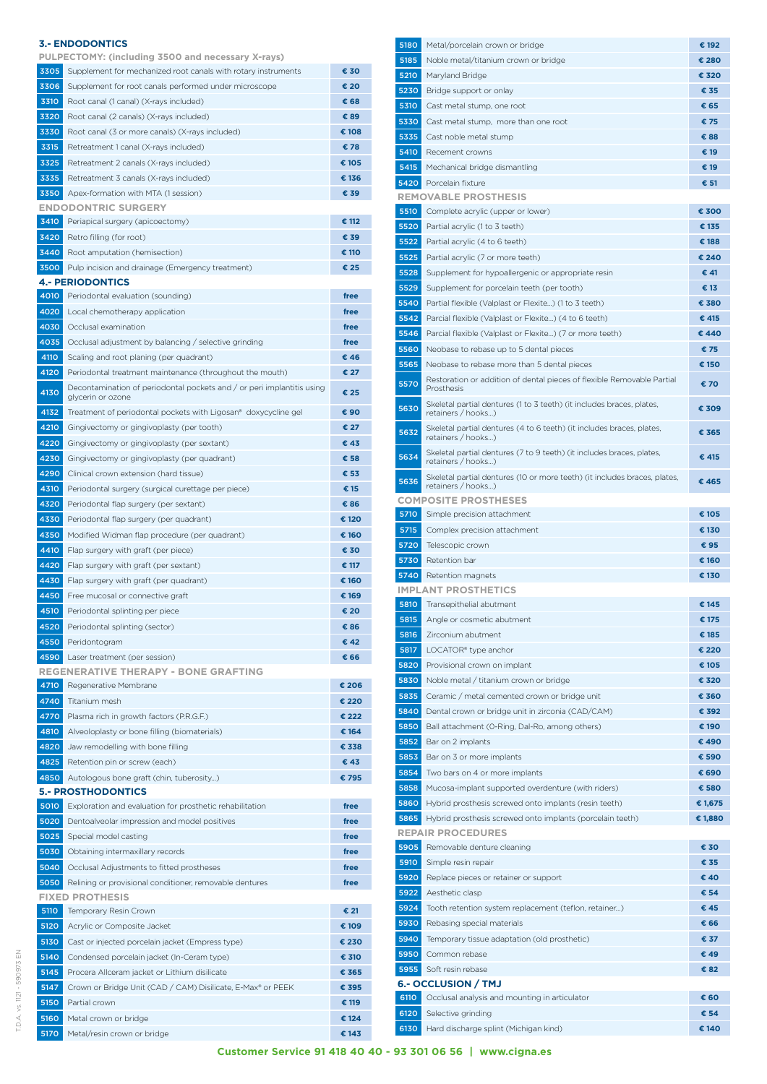|             | 3.- ENDODONTICS                                                                                                    |       |
|-------------|--------------------------------------------------------------------------------------------------------------------|-------|
| 3305        | PULPECTOMY: (including 3500 and necessary X-rays)<br>Supplement for mechanized root canals with rotary instruments | € 30  |
| 3306        | Supplement for root canals performed under microscope                                                              | € 20  |
|             |                                                                                                                    |       |
| 3310        | Root canal (1 canal) (X-rays included)                                                                             | € 68  |
| 3320        | Root canal (2 canals) (X-rays included)                                                                            | € 89  |
| 3330        | Root canal (3 or more canals) (X-rays included)                                                                    | € 108 |
| 3315        | Retreatment 1 canal (X-rays included)                                                                              | €78   |
| 3325        | Retreatment 2 canals (X-rays included)                                                                             | € 105 |
| 3335        | Retreatment 3 canals (X-rays included)                                                                             | € 136 |
| 3350        | Apex-formation with MTA (1 session)                                                                                | € 39  |
|             | <b>ENDODONTRIC SURGERY</b>                                                                                         |       |
| 3410        | Periapical surgery (apicoectomy)                                                                                   | € 112 |
| 3420        | Retro filling (for root)                                                                                           | € 39  |
| 3440        | Root amputation (hemisection)                                                                                      | € 110 |
| 3500        | Pulp incision and drainage (Emergency treatment)                                                                   | € 25  |
|             | <b>4.- PERIODONTICS</b>                                                                                            |       |
| 4010        | Periodontal evaluation (sounding)                                                                                  | free  |
| 4020        | Local chemotherapy application                                                                                     | free  |
| 4030        | Occlusal examination                                                                                               | free  |
| 4035        | Occlusal adjustment by balancing / selective grinding                                                              | free  |
| <b>4110</b> | Scaling and root planing (per quadrant)                                                                            | € 46  |
| 4120        | Periodontal treatment maintenance (throughout the mouth)                                                           | € 27  |
| 4130        | Decontamination of periodontal pockets and / or peri implantitis using<br>glycerin or ozone                        | € 25  |
| 4132        | Treatment of periodontal pockets with Ligosan® doxycycline gel                                                     | € 90  |
| 4210        | Gingivectomy or gingivoplasty (per tooth)                                                                          | € 27  |
| 4220        | Gingivectomy or gingivoplasty (per sextant)                                                                        | € 43  |
| 4230        | Gingivectomy or gingivoplasty (per quadrant)                                                                       | € 58  |
| 4290        | Clinical crown extension (hard tissue)                                                                             | € 53  |
| 4310        | Periodontal surgery (surgical curettage per piece)                                                                 | € 15  |
| 4320        | Periodontal flap surgery (per sextant)                                                                             | € 86  |
| 4330        | Periodontal flap surgery (per quadrant)                                                                            | € 120 |
| 4350        | Modified Widman flap procedure (per quadrant)                                                                      | € 160 |
| 4410        | Flap surgery with graft (per piece)                                                                                | € 30  |
| 4420        | Flap surgery with graft (per sextant)                                                                              | € 117 |
| 4430        | Flap surgery with graft (per quadrant)                                                                             | € 160 |
| 4450        | Free mucosal or connective graft                                                                                   | € 169 |
| 4510        | Periodontal splinting per piece                                                                                    | € 20  |
| 4520        | Periodontal splinting (sector)                                                                                     | € 86  |
| 4550        | Peridontogram                                                                                                      | € 42  |
| 4590        | Laser treatment (per session)                                                                                      | € 66  |
|             | <b>REGENERATIVE THERAPY - BONE GRAFTING</b>                                                                        |       |
| 4710        | Regenerative Membrane                                                                                              | € 206 |
| 4740        | Titanium mesh                                                                                                      | € 220 |
| 4770        | Plasma rich in growth factors (P.R.G.F.)                                                                           | € 222 |
| 4810        |                                                                                                                    | € 164 |
| 4820        | Alveoloplasty or bone filling (biomaterials)                                                                       | € 338 |
|             | Jaw remodelling with bone filling                                                                                  | €43   |
| 4825        | Retention pin or screw (each)                                                                                      |       |
| 4850        | Autologous bone graft (chin, tuberosity)<br><b>5.- PROSTHODONTICS</b>                                              | €795  |
| 5010        | Exploration and evaluation for prosthetic rehabilitation                                                           | free  |
| 5020        | Dentoalveolar impression and model positives                                                                       | free  |
|             |                                                                                                                    |       |
| 5025        | Special model casting                                                                                              | free  |
| 5030        | Obtaining intermaxillary records                                                                                   | free  |
| 5040        | Occlusal Adjustments to fitted prostheses                                                                          | free  |
| 5050        | Relining or provisional conditioner, removable dentures                                                            | free  |
|             | <b>FIXED PROTHESIS</b>                                                                                             |       |
| 5110        | Temporary Resin Crown                                                                                              | € 21  |
| 5120        | Acrylic or Composite Jacket                                                                                        | € 109 |
| 5130        | Cast or injected porcelain jacket (Empress type)                                                                   | € 230 |
| 5140        | Condensed porcelain jacket (In-Ceram type)                                                                         | € 310 |
| 5145        | Procera Allceram jacket or Lithium disilicate                                                                      | € 365 |
| 5147        | Crown or Bridge Unit (CAD / CAM) Disilicate, E-Max® or PEEK                                                        | € 395 |
| 5150        | Partial crown                                                                                                      | € 119 |
| 5160        | Metal crown or bridge                                                                                              | € 124 |
| 5170        | Metal/resin crown or bridge                                                                                        | € 143 |

| 5180 | Metal/porcelain crown or bridge                                                                 | € 192   |
|------|-------------------------------------------------------------------------------------------------|---------|
| 5185 | Noble metal/titanium crown or bridge                                                            | € 280   |
| 5210 | Maryland Bridge                                                                                 | € 320   |
| 5230 |                                                                                                 | € 35    |
|      | Bridge support or onlay                                                                         |         |
| 5310 | Cast metal stump, one root                                                                      | € 65    |
| 5330 | Cast metal stump, more than one root                                                            | €75     |
| 5335 | Cast noble metal stump                                                                          | € 88    |
| 5410 | Recement crowns                                                                                 | € 19    |
| 5415 | Mechanical bridge dismantling                                                                   | € 19    |
| 5420 | Porcelain fixture                                                                               | € 51    |
|      | <b>REMOVABLE PROSTHESIS</b>                                                                     |         |
| 5510 | Complete acrylic (upper or lower)                                                               | € 300   |
|      |                                                                                                 |         |
| 5520 | Partial acrylic (1 to 3 teeth)                                                                  | € 135   |
| 5522 | Partial acrylic (4 to 6 teeth)                                                                  | € 188   |
| 5525 | Partial acrylic (7 or more teeth)                                                               | € 240   |
| 5528 | Supplement for hypoallergenic or appropriate resin                                              | € 41    |
| 5529 | Supplement for porcelain teeth (per tooth)                                                      | € 13    |
| 5540 | Partial flexible (Valplast or Flexite) (1 to 3 teeth)                                           | € 380   |
| 5542 | Parcial flexible (Valplast or Flexite) (4 to 6 teeth)                                           | € 415   |
| 5546 | Parcial flexible (Valplast or Flexite) (7 or more teeth)                                        | € 440   |
|      |                                                                                                 |         |
| 5560 | Neobase to rebase up to 5 dental pieces                                                         | €75     |
| 5565 | Neobase to rebase more than 5 dental pieces                                                     | € 150   |
| 5570 | Restoration or addition of dental pieces of flexible Removable Partial<br>Prosthesis            | € 70    |
| 5630 | Skeletal partial dentures (1 to 3 teeth) (it includes braces, plates,<br>retainers / hooks)     | € 309   |
| 5632 | Skeletal partial dentures (4 to 6 teeth) (it includes braces, plates,<br>retainers / hooks)     | € 365   |
| 5634 | Skeletal partial dentures (7 to 9 teeth) (it includes braces, plates,<br>retainers / hooks)     | € 415   |
| 5636 | Skeletal partial dentures (10 or more teeth) (it includes braces, plates,<br>retainers / hooks) | € 465   |
|      | <b>COMPOSITE PROSTHESES</b>                                                                     |         |
| 5710 | Simple precision attachment                                                                     | € 105   |
| 5715 | Complex precision attachment                                                                    | € 130   |
| 5720 | Telescopic crown                                                                                | €95     |
| 5730 | Retention bar                                                                                   | € 160   |
| 5740 | Retention magnets                                                                               | € 130   |
|      | <b>IMPLANT PROSTHETICS</b>                                                                      |         |
| 5810 | Transepithelial abutment                                                                        | € 145   |
| 5815 | Angle or cosmetic abutment                                                                      | € 175   |
| 5816 | Zirconium abutment                                                                              | € 185   |
| 5817 | LOCATOR <sup>®</sup> type anchor                                                                | € 220   |
|      |                                                                                                 |         |
| 5820 | Provisional crown on implant                                                                    | € 105   |
| 5830 | Noble metal / titanium crown or bridge                                                          | € 320   |
| 5835 | Ceramic / metal cemented crown or bridge unit                                                   | € 360   |
| 5840 | Dental crown or bridge unit in zirconia (CAD/CAM)                                               | € 392   |
| 5850 | Ball attachment (O-Ring, Dal-Ro, among others)                                                  | € 190   |
| 5852 | Bar on 2 implants                                                                               | € 490   |
| 5853 | Bar on 3 or more implants                                                                       | € 590   |
| 5854 | Two bars on 4 or more implants                                                                  | € 690   |
| 5858 | Mucosa-implant supported overdenture (with riders)                                              | € 580   |
| 5860 | Hybrid prosthesis screwed onto implants (resin teeth)                                           | € 1,675 |
| 5865 |                                                                                                 |         |
|      | Hybrid prosthesis screwed onto implants (porcelain teeth)<br><b>REPAIR PROCEDURES</b>           | € 1,880 |
| 5905 | Removable denture cleaning                                                                      | € 30    |
| 5910 | Simple resin repair                                                                             | € 35    |
| 5920 | Replace pieces or retainer or support                                                           | € 40    |
| 5922 | Aesthetic clasp                                                                                 | € 54    |
|      |                                                                                                 |         |
| 5924 | Tooth retention system replacement (teflon, retainer)                                           | € 45    |
| 5930 | Rebasing special materials                                                                      | € 66    |
| 5940 | Temporary tissue adaptation (old prosthetic)                                                    | € 37    |
| 5950 | Common rebase                                                                                   | € 49    |
| 5955 | Soft resin rebase                                                                               | €82     |
|      | <b>6.- OCCLUSION / TMJ</b>                                                                      |         |
| 6110 | Occlusal analysis and mounting in articulator                                                   | € 60    |
| 6120 | Selective grinding                                                                              | € 54    |
| 6130 | Hard discharge splint (Michigan kind)                                                           | € 140   |
|      |                                                                                                 |         |